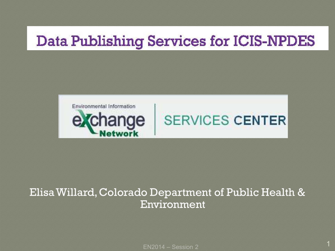### **Data Publishing Services for ICIS-NPDES**

**SERVICES CENTER** 



### Elisa Willard, Colorado Department of Public Health & Environment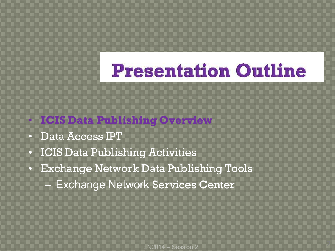### **Presentation Outline**

- **ICIS Data Publishing Overview**
- Data Access IPT
- ICIS Data Publishing Activities
- Exchange Network Data Publishing Tools – Exchange Network Services Center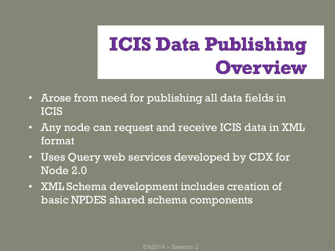### **ICIS Data Publishing Overview**

- Arose from need for publishing all data fields in ICIS
- Any node can request and receive ICIS data in XML format
- Uses Query web services developed by CDX for Node 2.0
- XML Schema development includes creation of basic NPDES shared schema components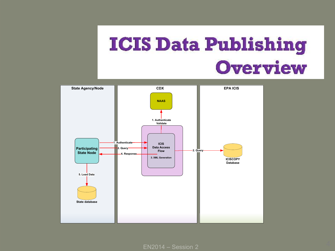### **ICIS Data Publishing Overview**

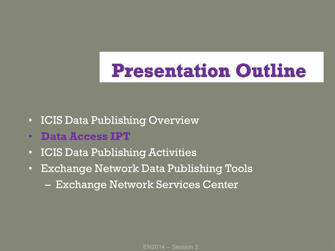### **Presentation Outline**

- ICIS Data Publishing Overview
- **Data Access IPT**
- ICIS Data Publishing Activities
- Exchange Network Data Publishing Tools – Exchange Network Services Center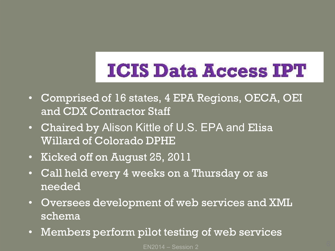### **ICIS Data Access IPT**

- Comprised of 16 states, 4 EPA Regions, OECA, OEI and CDX Contractor Staff
- Chaired by Alison Kittle of U.S. EPA and Elisa Willard of Colorado DPHE
- Kicked off on August 25, 2011
- Call held every 4 weeks on a Thursday or as needed
- Oversees development of web services and XML schema
- Members perform pilot testing of web services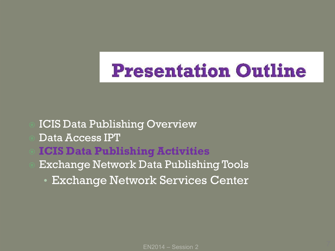### **Presentation Outline**

### ICIS Data Publishing Overview Data Access IPT **ICIS Data Publishing Activities** Exchange Network Data Publishing Tools

• Exchange Network Services Center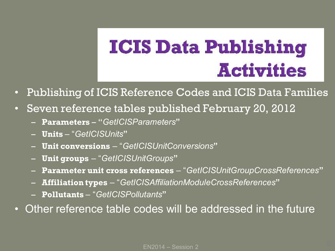- Publishing of ICIS Reference Codes and ICIS Data Families
- Seven reference tables published February 20, 2012
	- **Parameters** "*GetICISParameters***"**
	- **Units**  "*GetICISUnits***"**
	- **Unit conversions** "*GetICISUnitConversions***"**
	- **Unit groups** "*GetICISUnitGroups***"**
	- **Parameter unit cross references** "*GetICISUnitGroupCrossReferences***"**
	- **Affiliation types** "*GetICISAffiliationModuleCrossReferences***"**
	- **Pollutants** "*GetICISPollutants***"**
- Other reference table codes will be addressed in the future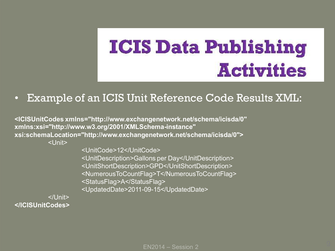### • Example of an ICIS Unit Reference Code Results XML:

**<ICISUnitCodes xmlns="http://www.exchangenetwork.net/schema/icisda/0" xmlns:xsi="http://www.w3.org/2001/XMLSchema-instance" xsi:schemaLocation="http://www.exchangenetwork.net/schema/icisda/0">**

<Unit>

<UnitCode>12</UnitCode>

<UnitDescription>Gallons per Day</UnitDescription>

<UnitShortDescription>GPD</UnitShortDescription>

<NumerousToCountFlag>T</NumerousToCountFlag>

<StatusFlag>A</StatusFlag>

<UpdatedDate>2011-09-15</UpdatedDate>

 $<$ /Unit $>$ **</ICISUnitCodes>**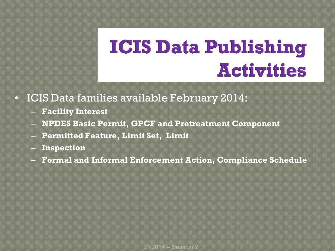- ICIS Data families available February 2014:
	- **Facility Interest**
	- **NPDES Basic Permit, GPCF and Pretreatment Component**
	- **Permitted Feature, Limit Set, Limit**
	- **Inspection**
	- **Formal and Informal Enforcement Action, Compliance Schedule**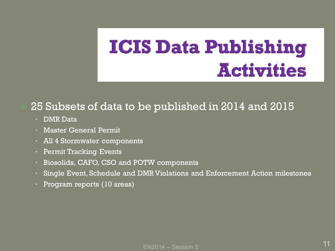### 25 Subsets of data to be published in 2014 and 2015

- DMR Data
- **Master General Permit**
- All 4 Stormwater components
- Permit Tracking Events
- Biosolids, CAFO, CSO and POTW components
- Single Event, Schedule and DMR Violations and Enforcement Action milestones
- Program reports (10 areas)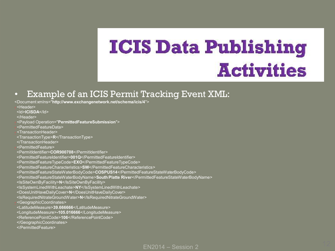#### • Example of an ICIS Permit Tracking Event XML:

- <Document xmlns="**http://www.exchangenetwork.net/schema/icis/4**">
- **-** <Header>
- <Id>**ICISDA**</Id>
- </Header>
- **-** <Payload Operation="**PermittedFeatureSubmission**">
- **-** <PermittedFeatureData>
- **-** <TransactionHeader>
- <TransactionType>**R**</TransactionType>
- </TransactionHeader>
- **-** <PermittedFeature>
- <PermitIdentifier>**COR900708**</PermitIdentifier>
- <PermittedFeatureIdentifier>**001Q**</PermittedFeatureIdentifier>
- <PermittedFeatureTypeCode>**EXO**</PermittedFeatureTypeCode>
- <PermittedFeatureCharacteristics>**SW**</PermittedFeatureCharacteristics>
- <PermittedFeatureStateWaterBodyCode>**COSPUS14**</PermittedFeatureStateWaterBodyCode>
- <PermittedFeatureStateWaterBodyName>**South Platte River**</PermittedFeatureStateWaterBodyName>
- <IsSiteOwnByFacility>**N**</IsSiteOwnByFacility>
- <IsSystemLinedWithLeachate>**NY**</IsSystemLinedWithLeachate>
- <DoesUnitHaveDailyCover>**N**</DoesUnitHaveDailyCover>
- <IsRequiredNitrateGroundWater>**N**</IsRequiredNitrateGroundWater>
- **-** <GeographicCoordinates>
- <LatitudeMeasure>**39.666666**</LatitudeMeasure>
- <LongitudeMeasure>**-105.016666**</LongitudeMeasure>
- <ReferencePointCode>**106**</ReferencePointCode>
- </GeographicCoordinates>
- </PermittedFeature>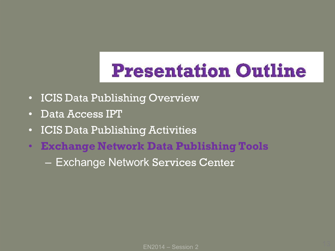### **Presentation Outline**

- ICIS Data Publishing Overview
- Data Access IPT
- ICIS Data Publishing Activities
- **Exchange Network Data Publishing Tools**
	- Exchange Network Services Center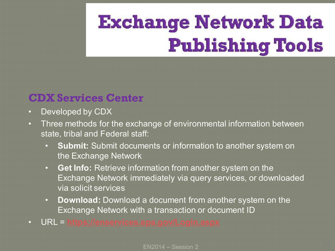### **CDX Services Center**

- Developed by CDX
- Three methods for the exchange of environmental information between state, tribal and Federal staff:
	- **Submit:** Submit documents or information to another system on the Exchange Network
	- **Get Info:** Retrieve information from another system on the Exchange Network immediately via query services, or downloaded via solicit services
	- **Download:** Download a document from another system on the Exchange Network with a transaction or document ID
- URL = **<https://enservices.epa.gov/Login.aspx>**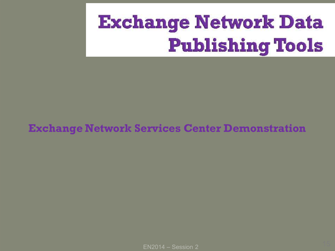### **Exchange Network Services Center Demonstration**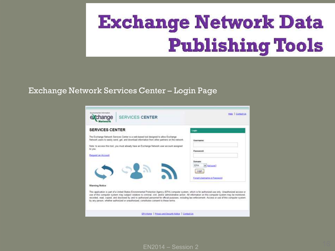#### Exchange Network Services Center – Login Page

| change<br><b>SERVICES CENTER</b>                                                                                                                                                                                                                                                                                                                                                                                                                                                                                                                                                       | Help   Contact Us                                                      |
|----------------------------------------------------------------------------------------------------------------------------------------------------------------------------------------------------------------------------------------------------------------------------------------------------------------------------------------------------------------------------------------------------------------------------------------------------------------------------------------------------------------------------------------------------------------------------------------|------------------------------------------------------------------------|
| <b>SERVICES CENTER</b>                                                                                                                                                                                                                                                                                                                                                                                                                                                                                                                                                                 | Logm                                                                   |
| The Exchange Network Services Center is a web-based tool designed to allow Exchange<br>Network users to easily send, get, and download information from other partners on the network.<br>Note: to access this tool, you must already have an Exchange Network user account assigned                                                                                                                                                                                                                                                                                                   | <b>Username:</b>                                                       |
| to you.<br>Request an Account                                                                                                                                                                                                                                                                                                                                                                                                                                                                                                                                                          | Password:                                                              |
|                                                                                                                                                                                                                                                                                                                                                                                                                                                                                                                                                                                        | Domaine<br>EPA<br>M Flot sure?<br>Login<br>Forgot Username or Password |
| <b>Warning Notice</b>                                                                                                                                                                                                                                                                                                                                                                                                                                                                                                                                                                  |                                                                        |
| This application is part of a United States Environmental Protection Agency (EPA) computer system, which is for authorized use only. Unauthorized access or<br>use of this computer system may subject violators to criminal, civil, and/or administrative action. All information on this computer system may be monitored.<br>recorded, read, copied, and disclosed by and to authorized personnel for official purposes, including law enforcement. Access or use of this computer system<br>by any person, whether authorized or unauthorized, constitutes consent to these terms. |                                                                        |
| EPA Home   Privacy and Security Notice   Contact Us                                                                                                                                                                                                                                                                                                                                                                                                                                                                                                                                    |                                                                        |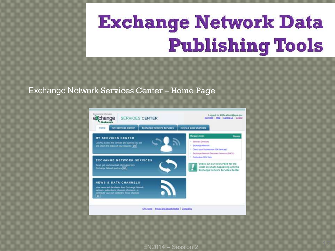#### Exchange Network Services Center – Home Page

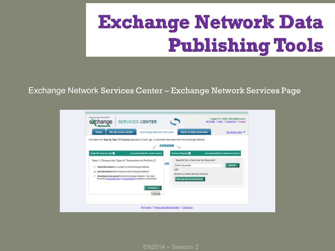#### Exchange Network Services Center – Exchange Network Services Page

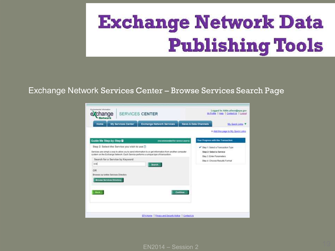#### Exchange Network Services Center – Browse Services Search Page

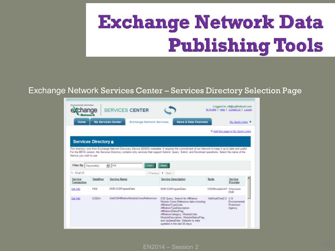#### Exchange Network Services Center – Services Directory Selection Page

| <b>Cruincomental Information</b>                                    | ange                        | <b>SERVICES CENTER</b>                                                                                                                                                                                                                                                                                                                                       |                                                                                                                                                                                                                                      | U. Portile             | Logged Im nh@cgifederal.com<br>Hele   Centact US   Loggut |  |
|---------------------------------------------------------------------|-----------------------------|--------------------------------------------------------------------------------------------------------------------------------------------------------------------------------------------------------------------------------------------------------------------------------------------------------------------------------------------------------------|--------------------------------------------------------------------------------------------------------------------------------------------------------------------------------------------------------------------------------------|------------------------|-----------------------------------------------------------|--|
| Home                                                                |                             | My Services Center<br>Exchange Network Services                                                                                                                                                                                                                                                                                                              | News & Data Channels                                                                                                                                                                                                                 |                        | My Quick Links                                            |  |
|                                                                     |                             |                                                                                                                                                                                                                                                                                                                                                              |                                                                                                                                                                                                                                      |                        | <sup>6</sup> Add this gage to My Quick Links              |  |
|                                                                     | <b>Services Directory a</b> |                                                                                                                                                                                                                                                                                                                                                              |                                                                                                                                                                                                                                      |                        |                                                           |  |
| Serica you wish to use<br>Filter By:   Keyword(s)<br>$1 - 13$ of 13 |                             | This directory runs from Exchange Nationals Discovery Service (ENDS) metadata. It requires the commitment of our Network to keep it up to date and useful<br>For the BETA version, the Services Directory contains only services that support Submit. Query, Solicit, and Download operations. Select the name of the<br>$=$ $ $ cit<br>Filter<br>< Prestous | Clear<br>$1$ lied $>$                                                                                                                                                                                                                |                        |                                                           |  |
| Service<br>Transaction                                              | Dataflow                    | <b>Service Name</b>                                                                                                                                                                                                                                                                                                                                          | Service Description                                                                                                                                                                                                                  | Node                   | Service<br>Provider                                       |  |
| Get Info                                                            | FRS.                        | <b>DNR ICISPrepareData</b>                                                                                                                                                                                                                                                                                                                                   | DNR.ICISPrepareData                                                                                                                                                                                                                  | WDNRmode2UAT Wieconein | <b>DISR</b>                                               |  |
| <b>Get Info</b>                                                     | <b>KISDA</b>                | GettCISAffisstionModuleCrossRaferences                                                                                                                                                                                                                                                                                                                       | ICIS Query: Search for Affiliation<br>Module Cross Reference data including<br>AffiliationTypeCode<br>AffiliationTypeDescription.<br>AdjustionStatusFlag<br>AffiliationCategory, ModuleCode.<br>ModuleDescription, ModuleStatusFlag. | NetNodeText2 0 U.S.    | Environmental<br>Protection<br>Agency                     |  |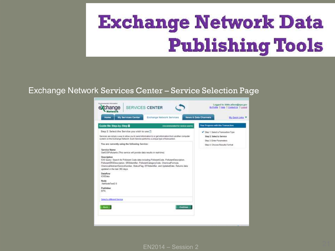#### Exchange Network Services Center – Service Selection Page

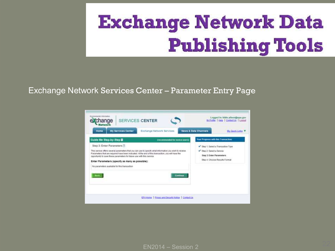#### Exchange Network Services Center – Parameter Entry Page

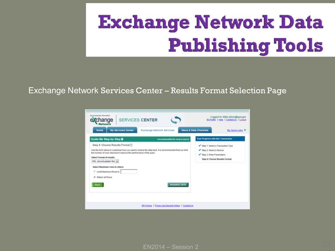#### Exchange Network Services Center – Results Format Selection Page

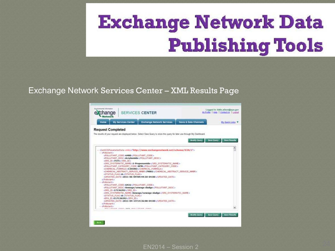#### Exchange Network Services Center – XML Results Page

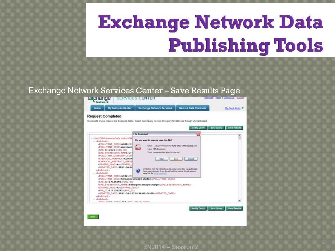#### Exchange Network Services Center – Save Results Page

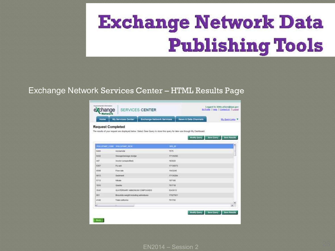#### Exchange Network Services Center – HTML Results Page

| Home                     | My Services Center                   | <b>Exchange Network Services</b> | <b>News &amp; Data Channels</b>                                                                                                                    | My Quick Links . W                      |
|--------------------------|--------------------------------------|----------------------------------|----------------------------------------------------------------------------------------------------------------------------------------------------|-----------------------------------------|
| <b>Request Completed</b> |                                      |                                  | The results of your request are displayed below. Salect Save Query to store this query for later use through My Dashboard.<br><b>Modify Querry</b> | <b>Save Query</b><br><b>Save Resums</b> |
|                          | POLLUTANT COOL POLLUTANT DESC        |                                  | SH3. 831                                                                                                                                           | w.                                      |
| 6400                     | Acrylamide                           |                                  | 7575                                                                                                                                               |                                         |
| 6432                     | Sewage/sewage sludge                 |                                  | 17136202                                                                                                                                           |                                         |
| 447                      | (Modor (unspecified)                 |                                  | 183020                                                                                                                                             |                                         |
| 6367                     | Fivash                               |                                  | 57136673                                                                                                                                           |                                         |
| 6500                     | Flow ride                            |                                  | 1643246                                                                                                                                            |                                         |
| 8813                     | Sadiment                             |                                  | 17136204                                                                                                                                           |                                         |
| 57.13                    | Mitrate                              |                                  | 597186                                                                                                                                             |                                         |
| 1918                     | Glaritia                             |                                  | 761718                                                                                                                                             |                                         |
| 5545                     | QUATERNARY AMMONIUM COMPOUNDS        |                                  | 5243613                                                                                                                                            |                                         |
| 661                      | Skessids weight including admirtures |                                  | 17027921                                                                                                                                           |                                         |
| 4140                     | Total coliforms                      |                                  | 781700                                                                                                                                             |                                         |
| $\leq$                   | and the control of the control of    |                                  |                                                                                                                                                    | a.                                      |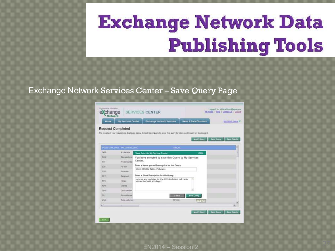#### Exchange Network Services Center – Save Query Page

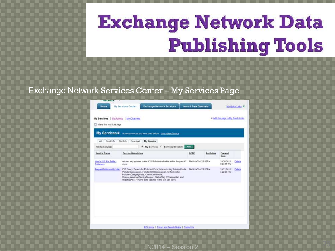#### Exchange Network Services Center – My Services Page

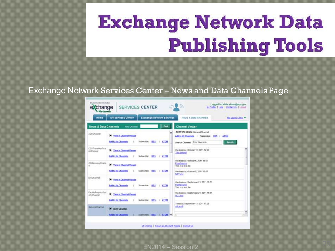#### Exchange Network Services Center – News and Data Channels Page